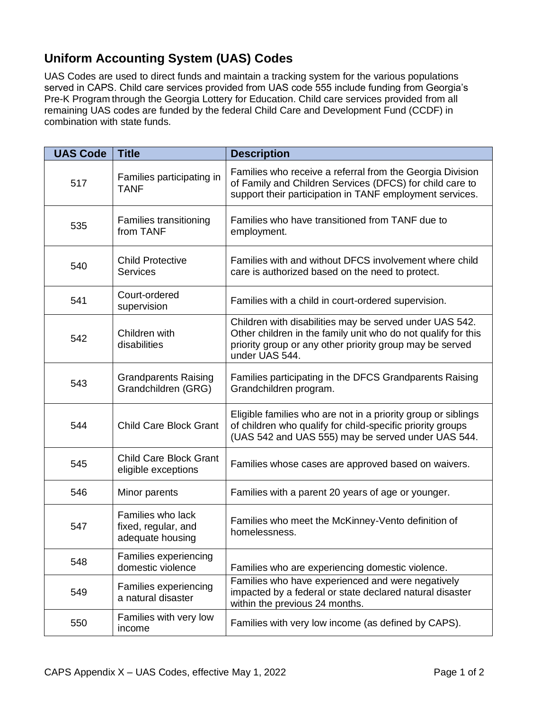## **Uniform Accounting System (UAS) Codes**

UAS Codes are used to direct funds and maintain a tracking system for the various populations served in CAPS. Child care services provided from UAS code 555 include funding from Georgia's Pre-K Program through the Georgia Lottery for Education. Child care services provided from all remaining UAS codes are funded by the federal Child Care and Development Fund (CCDF) in combination with state funds.

| <b>UAS Code</b> | <b>Title</b>                                                 | <b>Description</b>                                                                                                                                                                                     |
|-----------------|--------------------------------------------------------------|--------------------------------------------------------------------------------------------------------------------------------------------------------------------------------------------------------|
| 517             | Families participating in<br><b>TANF</b>                     | Families who receive a referral from the Georgia Division<br>of Family and Children Services (DFCS) for child care to<br>support their participation in TANF employment services.                      |
| 535             | <b>Families transitioning</b><br>from TANF                   | Families who have transitioned from TANF due to<br>employment.                                                                                                                                         |
| 540             | <b>Child Protective</b><br><b>Services</b>                   | Families with and without DFCS involvement where child<br>care is authorized based on the need to protect.                                                                                             |
| 541             | Court-ordered<br>supervision                                 | Families with a child in court-ordered supervision.                                                                                                                                                    |
| 542             | Children with<br>disabilities                                | Children with disabilities may be served under UAS 542.<br>Other children in the family unit who do not qualify for this<br>priority group or any other priority group may be served<br>under UAS 544. |
| 543             | <b>Grandparents Raising</b><br>Grandchildren (GRG)           | Families participating in the DFCS Grandparents Raising<br>Grandchildren program.                                                                                                                      |
| 544             | <b>Child Care Block Grant</b>                                | Eligible families who are not in a priority group or siblings<br>of children who qualify for child-specific priority groups<br>(UAS 542 and UAS 555) may be served under UAS 544.                      |
| 545             | <b>Child Care Block Grant</b><br>eligible exceptions         | Families whose cases are approved based on waivers.                                                                                                                                                    |
| 546             | Minor parents                                                | Families with a parent 20 years of age or younger.                                                                                                                                                     |
| 547             | Families who lack<br>fixed, regular, and<br>adequate housing | Families who meet the McKinney-Vento definition of<br>homelessness.                                                                                                                                    |
| 548             | Families experiencing<br>domestic violence                   | Families who are experiencing domestic violence.                                                                                                                                                       |
| 549             | Families experiencing<br>a natural disaster                  | Families who have experienced and were negatively<br>impacted by a federal or state declared natural disaster<br>within the previous 24 months.                                                        |
| 550             | Families with very low<br>income                             | Families with very low income (as defined by CAPS).                                                                                                                                                    |